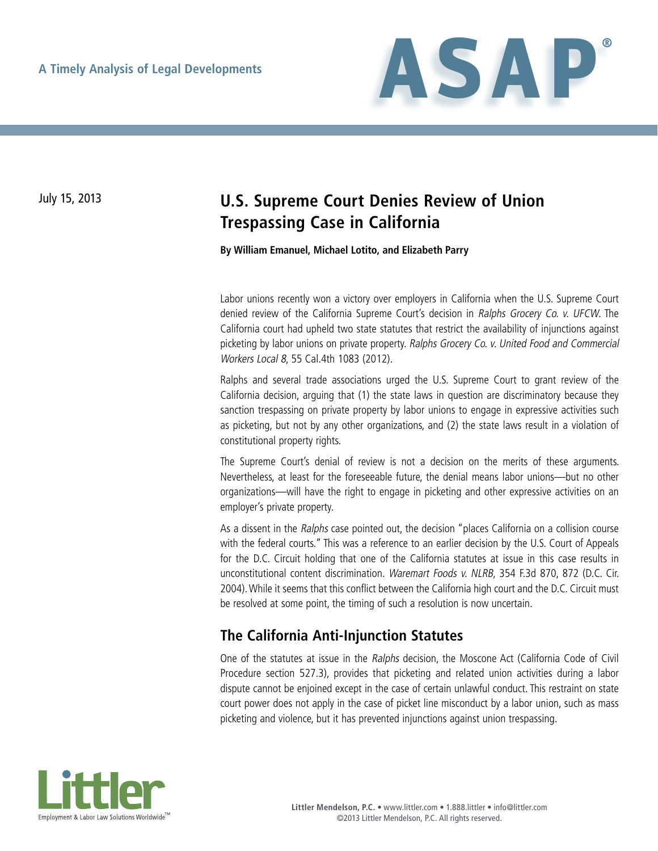

# July 15, 2013 **U.S. Supreme Court Denies Review of Union Trespassing Case in California**

**By William Emanuel, Michael Lotito, and Elizabeth Parry**

Labor unions recently won a victory over employers in California when the U.S. Supreme Court denied review of the California Supreme Court's decision in Ralphs Grocery Co. v. UFCW. The California court had upheld two state statutes that restrict the availability of injunctions against picketing by labor unions on private property. Ralphs Grocery Co. v. United Food and Commercial Workers Local 8, 55 Cal.4th 1083 (2012).

Ralphs and several trade associations urged the U.S. Supreme Court to grant review of the California decision, arguing that (1) the state laws in question are discriminatory because they sanction trespassing on private property by labor unions to engage in expressive activities such as picketing, but not by any other organizations, and (2) the state laws result in a violation of constitutional property rights.

The Supreme Court's denial of review is not a decision on the merits of these arguments. Nevertheless, at least for the foreseeable future, the denial means labor unions—but no other organizations—will have the right to engage in picketing and other expressive activities on an employer's private property.

As a dissent in the Ralphs case pointed out, the decision "places California on a collision course with the federal courts." This was a reference to an earlier decision by the U.S. Court of Appeals for the D.C. Circuit holding that one of the California statutes at issue in this case results in unconstitutional content discrimination. Waremart Foods v. NLRB, 354 F.3d 870, 872 (D.C. Cir. 2004). While it seems that this conflict between the California high court and the D.C. Circuit must be resolved at some point, the timing of such a resolution is now uncertain.

#### **The California Anti-Injunction Statutes**

One of the statutes at issue in the Ralphs decision, the Moscone Act (California Code of Civil Procedure section 527.3), provides that picketing and related union activities during a labor dispute cannot be enjoined except in the case of certain unlawful conduct. This restraint on state court power does not apply in the case of picket line misconduct by a labor union, such as mass picketing and violence, but it has prevented injunctions against union trespassing.

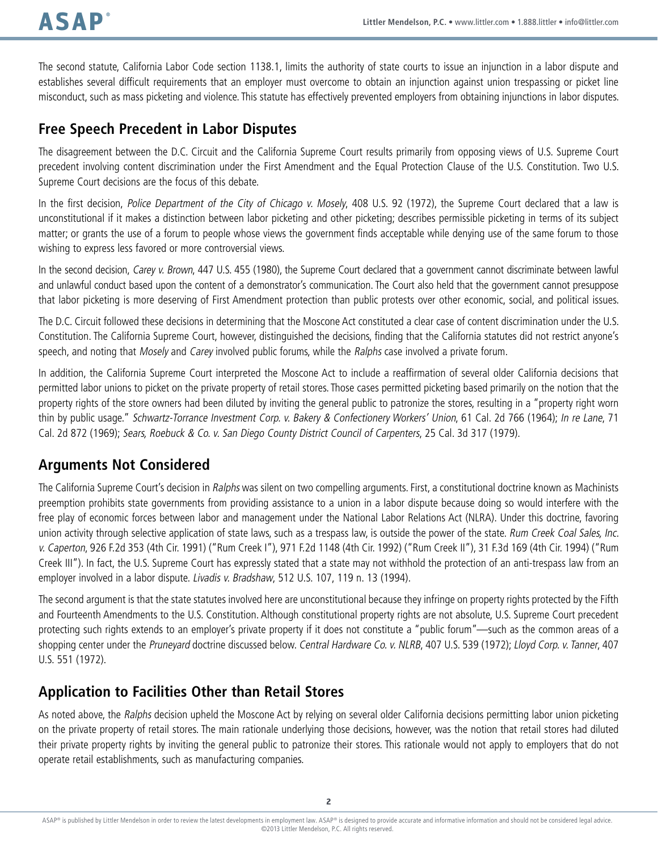The second statute, California Labor Code section 1138.1, limits the authority of state courts to issue an injunction in a labor dispute and establishes several difficult requirements that an employer must overcome to obtain an injunction against union trespassing or picket line misconduct, such as mass picketing and violence. This statute has effectively prevented employers from obtaining injunctions in labor disputes.

### **Free Speech Precedent in Labor Disputes**

The disagreement between the D.C. Circuit and the California Supreme Court results primarily from opposing views of U.S. Supreme Court precedent involving content discrimination under the First Amendment and the Equal Protection Clause of the U.S. Constitution. Two U.S. Supreme Court decisions are the focus of this debate.

In the first decision, Police Department of the City of Chicago v. Mosely, 408 U.S. 92 (1972), the Supreme Court declared that a law is unconstitutional if it makes a distinction between labor picketing and other picketing; describes permissible picketing in terms of its subject matter; or grants the use of a forum to people whose views the government finds acceptable while denying use of the same forum to those wishing to express less favored or more controversial views.

In the second decision, Carey v. Brown, 447 U.S. 455 (1980), the Supreme Court declared that a government cannot discriminate between lawful and unlawful conduct based upon the content of a demonstrator's communication. The Court also held that the government cannot presuppose that labor picketing is more deserving of First Amendment protection than public protests over other economic, social, and political issues.

The D.C. Circuit followed these decisions in determining that the Moscone Act constituted a clear case of content discrimination under the U.S. Constitution. The California Supreme Court, however, distinguished the decisions, finding that the California statutes did not restrict anyone's speech, and noting that Mosely and Carey involved public forums, while the Ralphs case involved a private forum.

In addition, the California Supreme Court interpreted the Moscone Act to include a reaffirmation of several older California decisions that permitted labor unions to picket on the private property of retail stores. Those cases permitted picketing based primarily on the notion that the property rights of the store owners had been diluted by inviting the general public to patronize the stores, resulting in a "property right worn thin by public usage." Schwartz-Torrance Investment Corp. v. Bakery & Confectionery Workers' Union, 61 Cal. 2d 766 (1964); In re Lane, 71 Cal. 2d 872 (1969); Sears, Roebuck & Co. v. San Diego County District Council of Carpenters, 25 Cal. 3d 317 (1979).

### **Arguments Not Considered**

The California Supreme Court's decision in Ralphs was silent on two compelling arguments. First, a constitutional doctrine known as Machinists preemption prohibits state governments from providing assistance to a union in a labor dispute because doing so would interfere with the free play of economic forces between labor and management under the National Labor Relations Act (NLRA). Under this doctrine, favoring union activity through selective application of state laws, such as a trespass law, is outside the power of the state. Rum Creek Coal Sales, Inc. v. Caperton, 926 F.2d 353 (4th Cir. 1991) ("Rum Creek I"), 971 F.2d 1148 (4th Cir. 1992) ("Rum Creek II"), 31 F.3d 169 (4th Cir. 1994) ("Rum Creek III"). In fact, the U.S. Supreme Court has expressly stated that a state may not withhold the protection of an anti-trespass law from an employer involved in a labor dispute. Livadis v. Bradshaw, 512 U.S. 107, 119 n. 13 (1994).

The second argument is that the state statutes involved here are unconstitutional because they infringe on property rights protected by the Fifth and Fourteenth Amendments to the U.S. Constitution. Although constitutional property rights are not absolute, U.S. Supreme Court precedent protecting such rights extends to an employer's private property if it does not constitute a "public forum"—such as the common areas of a shopping center under the Pruneyard doctrine discussed below. Central Hardware Co. v. NLRB, 407 U.S. 539 (1972); Lloyd Corp. v. Tanner, 407 U.S. 551 (1972).

### **Application to Facilities Other than Retail Stores**

As noted above, the Ralphs decision upheld the Moscone Act by relying on several older California decisions permitting labor union picketing on the private property of retail stores. The main rationale underlying those decisions, however, was the notion that retail stores had diluted their private property rights by inviting the general public to patronize their stores. This rationale would not apply to employers that do not operate retail establishments, such as manufacturing companies.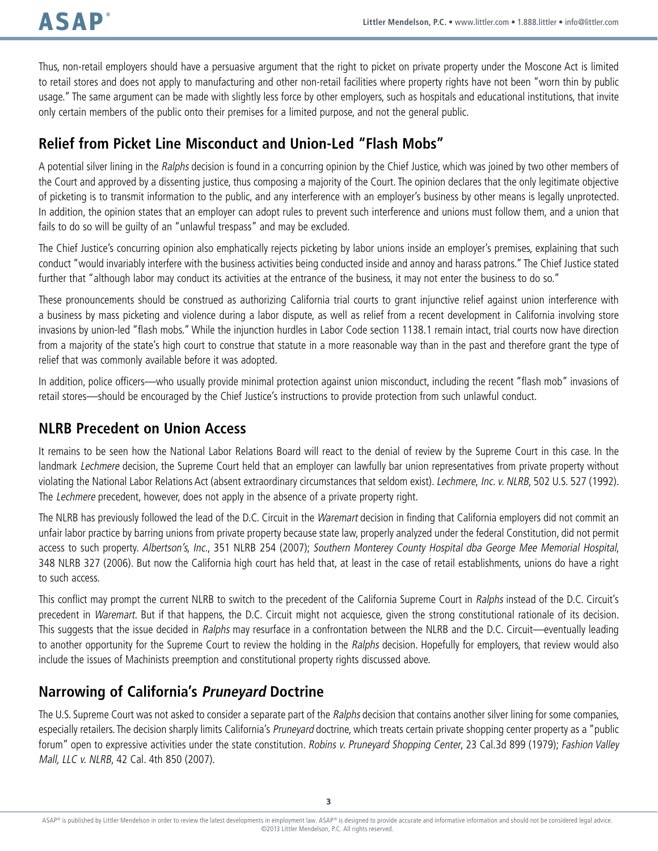Thus, non-retail employers should have a persuasive argument that the right to picket on private property under the Moscone Act is limited to retail stores and does not apply to manufacturing and other non-retail facilities where property rights have not been "worn thin by public usage." The same argument can be made with slightly less force by other employers, such as hospitals and educational institutions, that invite only certain members of the public onto their premises for a limited purpose, and not the general public.

## **Relief from Picket Line Misconduct and Union-Led "Flash Mobs"**

A potential silver lining in the Ralphs decision is found in a concurring opinion by the Chief Justice, which was joined by two other members of the Court and approved by a dissenting justice, thus composing a majority of the Court. The opinion declares that the only legitimate objective of picketing is to transmit information to the public, and any interference with an employer's business by other means is legally unprotected. In addition, the opinion states that an employer can adopt rules to prevent such interference and unions must follow them, and a union that fails to do so will be guilty of an "unlawful trespass" and may be excluded.

The Chief Justice's concurring opinion also emphatically rejects picketing by labor unions inside an employer's premises, explaining that such conduct "would invariably interfere with the business activities being conducted inside and annoy and harass patrons." The Chief Justice stated further that "although labor may conduct its activities at the entrance of the business, it may not enter the business to do so."

These pronouncements should be construed as authorizing California trial courts to grant injunctive relief against union interference with a business by mass picketing and violence during a labor dispute, as well as relief from a recent development in California involving store invasions by union-led "flash mobs." While the injunction hurdles in Labor Code section 1138.1 remain intact, trial courts now have direction from a majority of the state's high court to construe that statute in a more reasonable way than in the past and therefore grant the type of relief that was commonly available before it was adopted.

In addition, police officers—who usually provide minimal protection against union misconduct, including the recent "flash mob" invasions of retail stores—should be encouraged by the Chief Justice's instructions to provide protection from such unlawful conduct.

### **NLRB Precedent on Union Access**

It remains to be seen how the National Labor Relations Board will react to the denial of review by the Supreme Court in this case. In the landmark Lechmere decision, the Supreme Court held that an employer can lawfully bar union representatives from private property without violating the National Labor Relations Act (absent extraordinary circumstances that seldom exist). Lechmere, Inc. v. NLRB, 502 U.S. 527 (1992). The Lechmere precedent, however, does not apply in the absence of a private property right.

The NLRB has previously followed the lead of the D.C. Circuit in the Waremart decision in finding that California employers did not commit an unfair labor practice by barring unions from private property because state law, properly analyzed under the federal Constitution, did not permit access to such property. Albertson's, Inc., 351 NLRB 254 (2007); Southern Monterey County Hospital dba George Mee Memorial Hospital, 348 NLRB 327 (2006). But now the California high court has held that, at least in the case of retail establishments, unions do have a right to such access.

This conflict may prompt the current NLRB to switch to the precedent of the California Supreme Court in Ralphs instead of the D.C. Circuit's precedent in Waremart. But if that happens, the D.C. Circuit might not acquiesce, given the strong constitutional rationale of its decision. This suggests that the issue decided in Ralphs may resurface in a confrontation between the NLRB and the D.C. Circuit—eventually leading to another opportunity for the Supreme Court to review the holding in the Ralphs decision. Hopefully for employers, that review would also include the issues of Machinists preemption and constitutional property rights discussed above.

# **Narrowing of California's Pruneyard Doctrine**

The U.S. Supreme Court was not asked to consider a separate part of the Ralphs decision that contains another silver lining for some companies, especially retailers. The decision sharply limits California's Pruneyard doctrine, which treats certain private shopping center property as a "public forum" open to expressive activities under the state constitution. Robins v. Pruneyard Shopping Center, 23 Cal.3d 899 (1979); Fashion Valley Mall, LLC v. NLRB, 42 Cal. 4th 850 (2007).